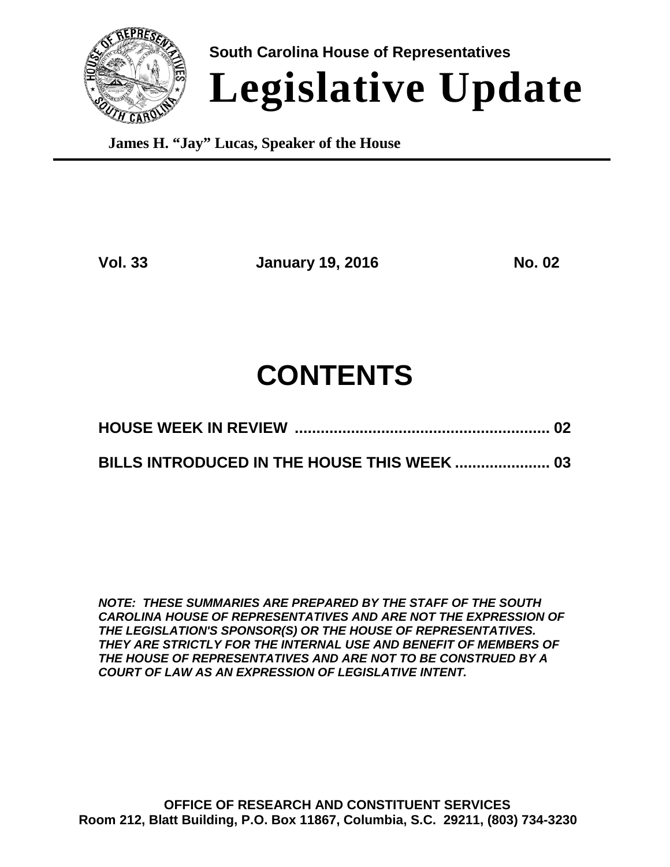

**South Carolina House of Representatives Legislative Update**

**James H. "Jay" Lucas, Speaker of the House**

**Vol. 33 January 19, 2016 No. 02**

# **CONTENTS**

|--|--|

### **BILLS INTRODUCED IN THE HOUSE THIS WEEK ...................... 03**

*NOTE: THESE SUMMARIES ARE PREPARED BY THE STAFF OF THE SOUTH CAROLINA HOUSE OF REPRESENTATIVES AND ARE NOT THE EXPRESSION OF THE LEGISLATION'S SPONSOR(S) OR THE HOUSE OF REPRESENTATIVES. THEY ARE STRICTLY FOR THE INTERNAL USE AND BENEFIT OF MEMBERS OF THE HOUSE OF REPRESENTATIVES AND ARE NOT TO BE CONSTRUED BY A COURT OF LAW AS AN EXPRESSION OF LEGISLATIVE INTENT.*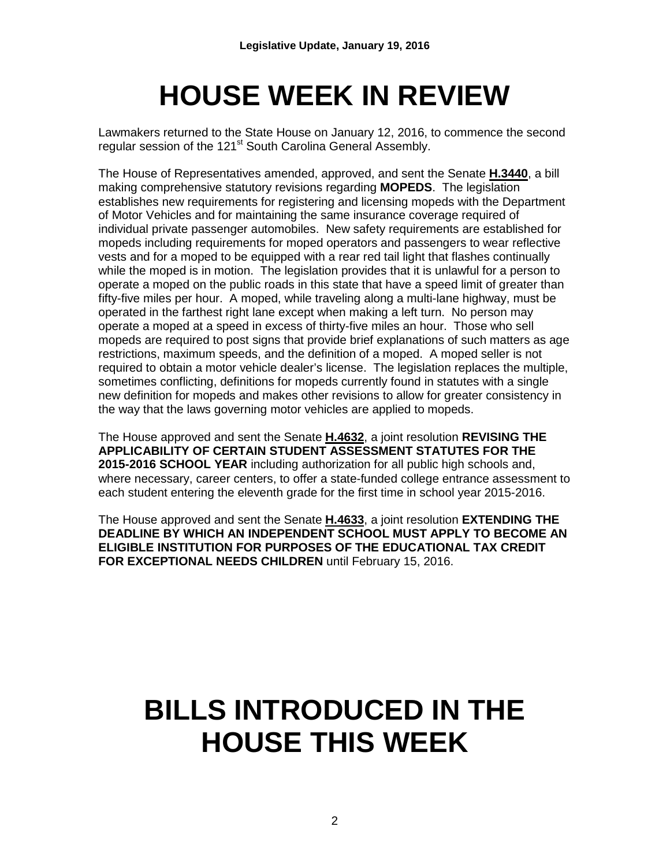# **HOUSE WEEK IN REVIEW**

Lawmakers returned to the State House on January 12, 2016, to commence the second regular session of the 121<sup>st</sup> South Carolina General Assembly.

The House of Representatives amended, approved, and sent the Senate **H.3440**, a bill making comprehensive statutory revisions regarding **MOPEDS**. The legislation establishes new requirements for registering and licensing mopeds with the Department of Motor Vehicles and for maintaining the same insurance coverage required of individual private passenger automobiles. New safety requirements are established for mopeds including requirements for moped operators and passengers to wear reflective vests and for a moped to be equipped with a rear red tail light that flashes continually while the moped is in motion. The legislation provides that it is unlawful for a person to operate a moped on the public roads in this state that have a speed limit of greater than fifty-five miles per hour. A moped, while traveling along a multi-lane highway, must be operated in the farthest right lane except when making a left turn. No person may operate a moped at a speed in excess of thirty-five miles an hour. Those who sell mopeds are required to post signs that provide brief explanations of such matters as age restrictions, maximum speeds, and the definition of a moped. A moped seller is not required to obtain a motor vehicle dealer's license. The legislation replaces the multiple, sometimes conflicting, definitions for mopeds currently found in statutes with a single new definition for mopeds and makes other revisions to allow for greater consistency in the way that the laws governing motor vehicles are applied to mopeds.

The House approved and sent the Senate **H.4632**, a joint resolution **REVISING THE APPLICABILITY OF CERTAIN STUDENT ASSESSMENT STATUTES FOR THE 2015-2016 SCHOOL YEAR** including authorization for all public high schools and, where necessary, career centers, to offer a state-funded college entrance assessment to each student entering the eleventh grade for the first time in school year 2015-2016.

The House approved and sent the Senate **H.4633**, a joint resolution **EXTENDING THE DEADLINE BY WHICH AN INDEPENDENT SCHOOL MUST APPLY TO BECOME AN ELIGIBLE INSTITUTION FOR PURPOSES OF THE EDUCATIONAL TAX CREDIT FOR EXCEPTIONAL NEEDS CHILDREN** until February 15, 2016.

# **BILLS INTRODUCED IN THE HOUSE THIS WEEK**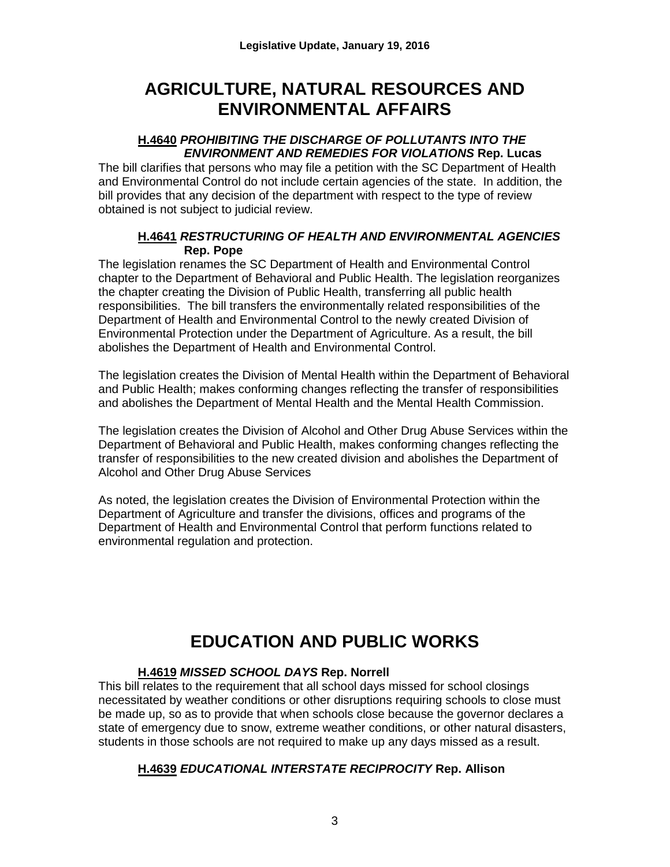### **AGRICULTURE, NATURAL RESOURCES AND ENVIRONMENTAL AFFAIRS**

#### **H.4640** *PROHIBITING THE DISCHARGE OF POLLUTANTS INTO THE ENVIRONMENT AND REMEDIES FOR VIOLATIONS* **Rep. Lucas**

The bill clarifies that persons who may file a petition with the SC Department of Health and Environmental Control do not include certain agencies of the state. In addition, the bill provides that any decision of the department with respect to the type of review obtained is not subject to judicial review.

#### **H.4641** *RESTRUCTURING OF HEALTH AND ENVIRONMENTAL AGENCIES* **Rep. Pope**

The legislation renames the SC Department of Health and Environmental Control chapter to the Department of Behavioral and Public Health. The legislation reorganizes the chapter creating the Division of Public Health, transferring all public health responsibilities. The bill transfers the environmentally related responsibilities of the Department of Health and Environmental Control to the newly created Division of Environmental Protection under the Department of Agriculture. As a result, the bill abolishes the Department of Health and Environmental Control.

The legislation creates the Division of Mental Health within the Department of Behavioral and Public Health; makes conforming changes reflecting the transfer of responsibilities and abolishes the Department of Mental Health and the Mental Health Commission.

The legislation creates the Division of Alcohol and Other Drug Abuse Services within the Department of Behavioral and Public Health, makes conforming changes reflecting the transfer of responsibilities to the new created division and abolishes the Department of Alcohol and Other Drug Abuse Services

As noted, the legislation creates the Division of Environmental Protection within the Department of Agriculture and transfer the divisions, offices and programs of the Department of Health and Environmental Control that perform functions related to environmental regulation and protection.

## **EDUCATION AND PUBLIC WORKS**

#### **H.4619** *MISSED SCHOOL DAYS* **Rep. Norrell**

This bill relates to the requirement that all school days missed for school closings necessitated by weather conditions or other disruptions requiring schools to close must be made up, so as to provide that when schools close because the governor declares a state of emergency due to snow, extreme weather conditions, or other natural disasters, students in those schools are not required to make up any days missed as a result.

#### **H.4639** *EDUCATIONAL INTERSTATE RECIPROCITY* **Rep. Allison**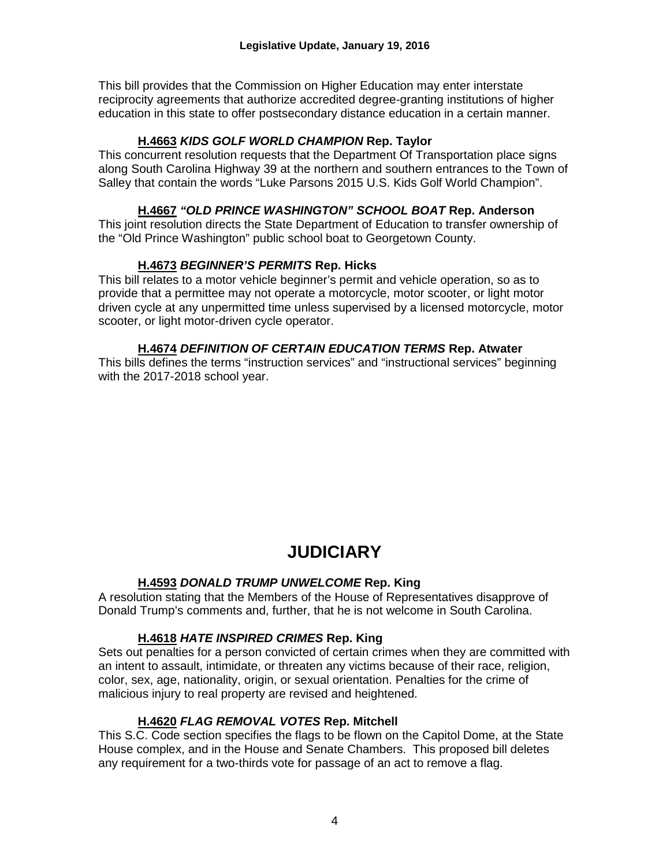This bill provides that the Commission on Higher Education may enter interstate reciprocity agreements that authorize accredited degree-granting institutions of higher education in this state to offer postsecondary distance education in a certain manner.

#### **H.4663** *KIDS GOLF WORLD CHAMPION* **Rep. Taylor**

This concurrent resolution requests that the Department Of Transportation place signs along South Carolina Highway 39 at the northern and southern entrances to the Town of Salley that contain the words "Luke Parsons 2015 U.S. Kids Golf World Champion".

#### **H.4667** *"OLD PRINCE WASHINGTON" SCHOOL BOAT* **Rep. Anderson**

This joint resolution directs the State Department of Education to transfer ownership of the "Old Prince Washington" public school boat to Georgetown County.

#### **H.4673** *BEGINNER'S PERMITS* **Rep. Hicks**

This bill relates to a motor vehicle beginner's permit and vehicle operation, so as to provide that a permittee may not operate a motorcycle, motor scooter, or light motor driven cycle at any unpermitted time unless supervised by a licensed motorcycle, motor scooter, or light motor-driven cycle operator.

#### **H.4674** *DEFINITION OF CERTAIN EDUCATION TERMS* **Rep. Atwater**

This bills defines the terms "instruction services" and "instructional services" beginning with the 2017-2018 school year.

### **JUDICIARY**

#### **H.4593** *DONALD TRUMP UNWELCOME* **Rep. King**

A resolution stating that the Members of the House of Representatives disapprove of Donald Trump's comments and, further, that he is not welcome in South Carolina.

#### **H.4618** *HATE INSPIRED CRIMES* **Rep. King**

Sets out penalties for a person convicted of certain crimes when they are committed with an intent to assault, intimidate, or threaten any victims because of their race, religion, color, sex, age, nationality, origin, or sexual orientation. Penalties for the crime of malicious injury to real property are revised and heightened.

#### **H.4620** *FLAG REMOVAL VOTES* **Rep. Mitchell**

This S.C. Code section specifies the flags to be flown on the Capitol Dome, at the State House complex, and in the House and Senate Chambers. This proposed bill deletes any requirement for a two-thirds vote for passage of an act to remove a flag.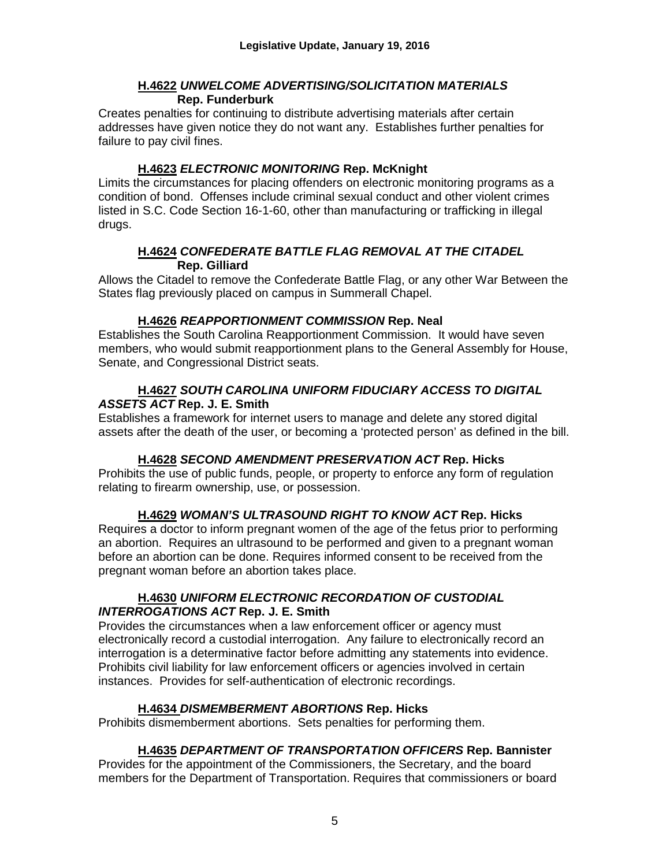#### **H.4622** *UNWELCOME ADVERTISING/SOLICITATION MATERIALS*  **Rep. Funderburk**

Creates penalties for continuing to distribute advertising materials after certain addresses have given notice they do not want any. Establishes further penalties for failure to pay civil fines.

#### **H.4623** *ELECTRONIC MONITORING* **Rep. McKnight**

Limits the circumstances for placing offenders on electronic monitoring programs as a condition of bond. Offenses include criminal sexual conduct and other violent crimes listed in S.C. Code Section 16-1-60, other than manufacturing or trafficking in illegal drugs.

#### **H.4624** *CONFEDERATE BATTLE FLAG REMOVAL AT THE CITADEL*  **Rep. Gilliard**

Allows the Citadel to remove the Confederate Battle Flag, or any other War Between the States flag previously placed on campus in Summerall Chapel.

#### **H.4626** *REAPPORTIONMENT COMMISSION* **Rep. Neal**

Establishes the South Carolina Reapportionment Commission. It would have seven members, who would submit reapportionment plans to the General Assembly for House, Senate, and Congressional District seats.

#### **H.4627** *SOUTH CAROLINA UNIFORM FIDUCIARY ACCESS TO DIGITAL ASSETS ACT* **Rep. J. E. Smith**

Establishes a framework for internet users to manage and delete any stored digital assets after the death of the user, or becoming a 'protected person' as defined in the bill.

#### **H.4628** *SECOND AMENDMENT PRESERVATION ACT* **Rep. Hicks**

Prohibits the use of public funds, people, or property to enforce any form of regulation relating to firearm ownership, use, or possession.

#### **H.4629** *WOMAN'S ULTRASOUND RIGHT TO KNOW ACT* **Rep. Hicks**

Requires a doctor to inform pregnant women of the age of the fetus prior to performing an abortion. Requires an ultrasound to be performed and given to a pregnant woman before an abortion can be done. Requires informed consent to be received from the pregnant woman before an abortion takes place.

#### **H.4630** *UNIFORM ELECTRONIC RECORDATION OF CUSTODIAL INTERROGATIONS ACT* **Rep. J. E. Smith**

Provides the circumstances when a law enforcement officer or agency must electronically record a custodial interrogation. Any failure to electronically record an interrogation is a determinative factor before admitting any statements into evidence. Prohibits civil liability for law enforcement officers or agencies involved in certain instances. Provides for self-authentication of electronic recordings.

#### **H.4634** *DISMEMBERMENT ABORTIONS* **Rep. Hicks**

Prohibits dismemberment abortions. Sets penalties for performing them.

#### **H.4635** *DEPARTMENT OF TRANSPORTATION OFFICERS* **Rep. Bannister**

Provides for the appointment of the Commissioners, the Secretary, and the board members for the Department of Transportation. Requires that commissioners or board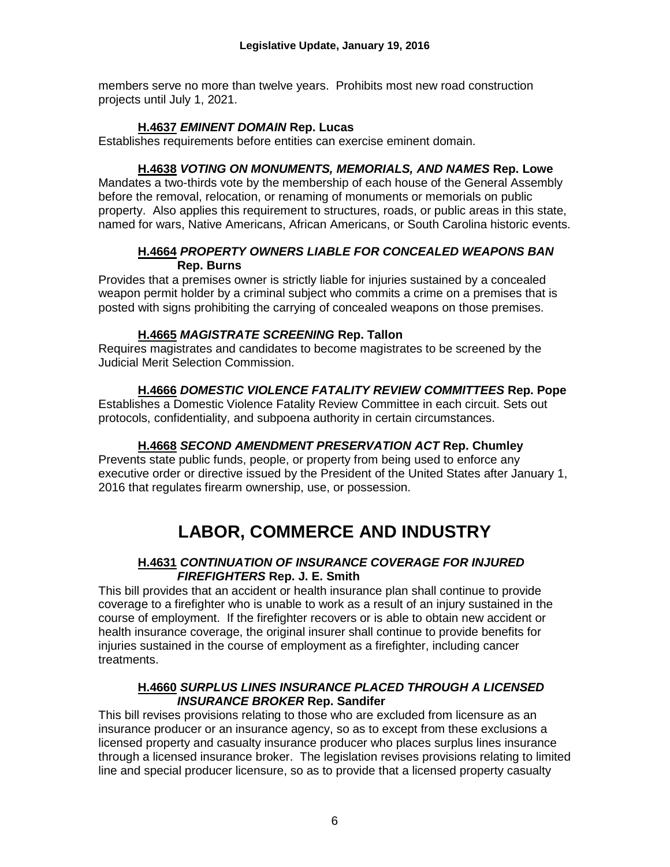members serve no more than twelve years. Prohibits most new road construction projects until July 1, 2021.

#### **H.4637** *EMINENT DOMAIN* **Rep. Lucas**

Establishes requirements before entities can exercise eminent domain.

#### **H.4638** *VOTING ON MONUMENTS, MEMORIALS, AND NAMES* **Rep. Lowe**

Mandates a two-thirds vote by the membership of each house of the General Assembly before the removal, relocation, or renaming of monuments or memorials on public property. Also applies this requirement to structures, roads, or public areas in this state, named for wars, Native Americans, African Americans, or South Carolina historic events.

#### **H.4664** *PROPERTY OWNERS LIABLE FOR CONCEALED WEAPONS BAN*  **Rep. Burns**

Provides that a premises owner is strictly liable for injuries sustained by a concealed weapon permit holder by a criminal subject who commits a crime on a premises that is posted with signs prohibiting the carrying of concealed weapons on those premises.

#### **H.4665** *MAGISTRATE SCREENING* **Rep. Tallon**

Requires magistrates and candidates to become magistrates to be screened by the Judicial Merit Selection Commission.

#### **H.4666** *DOMESTIC VIOLENCE FATALITY REVIEW COMMITTEES* **Rep. Pope**

Establishes a Domestic Violence Fatality Review Committee in each circuit. Sets out protocols, confidentiality, and subpoena authority in certain circumstances.

#### **H.4668** *SECOND AMENDMENT PRESERVATION ACT* **Rep. Chumley**

Prevents state public funds, people, or property from being used to enforce any executive order or directive issued by the President of the United States after January 1, 2016 that regulates firearm ownership, use, or possession.

## **LABOR, COMMERCE AND INDUSTRY**

#### **H.4631** *CONTINUATION OF INSURANCE COVERAGE FOR INJURED FIREFIGHTERS* **Rep. J. E. Smith**

This bill provides that an accident or health insurance plan shall continue to provide coverage to a firefighter who is unable to work as a result of an injury sustained in the course of employment. If the firefighter recovers or is able to obtain new accident or health insurance coverage, the original insurer shall continue to provide benefits for injuries sustained in the course of employment as a firefighter, including cancer treatments.

#### **H.4660** *SURPLUS LINES INSURANCE PLACED THROUGH A LICENSED INSURANCE BROKER* **Rep. Sandifer**

This bill revises provisions relating to those who are excluded from licensure as an insurance producer or an insurance agency, so as to except from these exclusions a licensed property and casualty insurance producer who places surplus lines insurance through a licensed insurance broker. The legislation revises provisions relating to limited line and special producer licensure, so as to provide that a licensed property casualty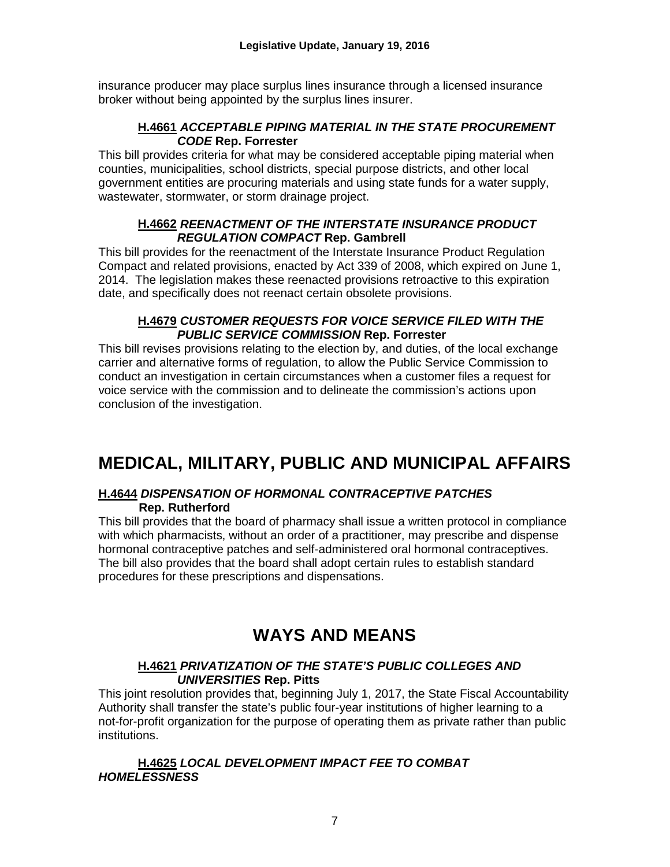insurance producer may place surplus lines insurance through a licensed insurance broker without being appointed by the surplus lines insurer.

#### **H.4661** *ACCEPTABLE PIPING MATERIAL IN THE STATE PROCUREMENT CODE* **Rep. Forrester**

This bill provides criteria for what may be considered acceptable piping material when counties, municipalities, school districts, special purpose districts, and other local government entities are procuring materials and using state funds for a water supply, wastewater, stormwater, or storm drainage project.

#### **H.4662** *REENACTMENT OF THE INTERSTATE INSURANCE PRODUCT REGULATION COMPACT* **Rep. Gambrell**

This bill provides for the reenactment of the Interstate Insurance Product Regulation Compact and related provisions, enacted by Act 339 of 2008, which expired on June 1, 2014. The legislation makes these reenacted provisions retroactive to this expiration date, and specifically does not reenact certain obsolete provisions.

#### **H.4679** *CUSTOMER REQUESTS FOR VOICE SERVICE FILED WITH THE PUBLIC SERVICE COMMISSION* **Rep. Forrester**

This bill revises provisions relating to the election by, and duties, of the local exchange carrier and alternative forms of regulation, to allow the Public Service Commission to conduct an investigation in certain circumstances when a customer files a request for voice service with the commission and to delineate the commission's actions upon conclusion of the investigation.

## **MEDICAL, MILITARY, PUBLIC AND MUNICIPAL AFFAIRS**

#### **H.4644** *DISPENSATION OF HORMONAL CONTRACEPTIVE PATCHES*  **Rep. Rutherford**

This bill provides that the board of pharmacy shall issue a written protocol in compliance with which pharmacists, without an order of a practitioner, may prescribe and dispense hormonal contraceptive patches and self-administered oral hormonal contraceptives. The bill also provides that the board shall adopt certain rules to establish standard procedures for these prescriptions and dispensations.

## **WAYS AND MEANS**

#### **H.4621** *PRIVATIZATION OF THE STATE'S PUBLIC COLLEGES AND UNIVERSITIES* **Rep. Pitts**

This joint resolution provides that, beginning July 1, 2017, the State Fiscal Accountability Authority shall transfer the state's public four-year institutions of higher learning to a not-for-profit organization for the purpose of operating them as private rather than public institutions.

#### **H.4625** *LOCAL DEVELOPMENT IMPACT FEE TO COMBAT HOMELESSNESS*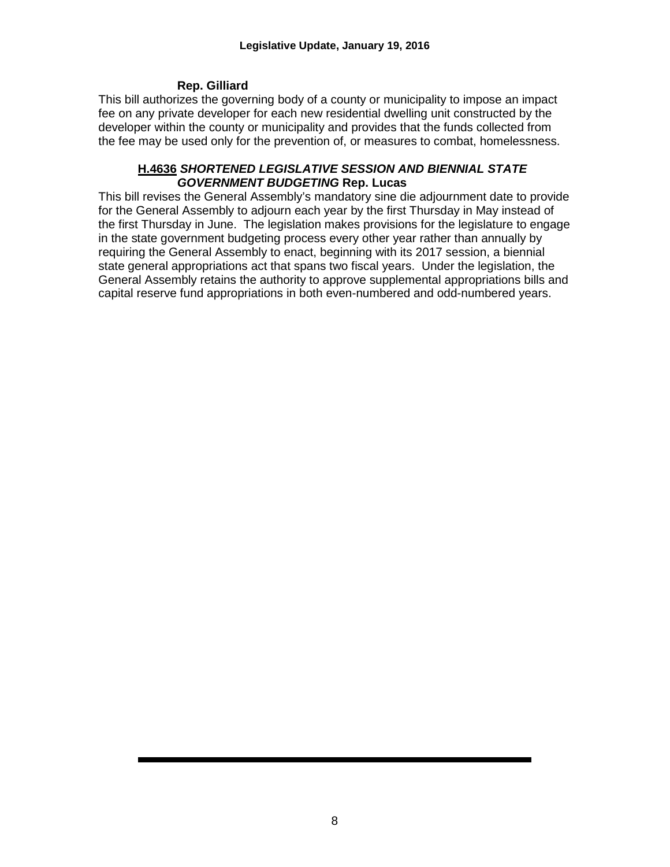#### **Rep. Gilliard**

This bill authorizes the governing body of a county or municipality to impose an impact fee on any private developer for each new residential dwelling unit constructed by the developer within the county or municipality and provides that the funds collected from the fee may be used only for the prevention of, or measures to combat, homelessness.

#### **H.4636** *SHORTENED LEGISLATIVE SESSION AND BIENNIAL STATE GOVERNMENT BUDGETING* **Rep. Lucas**

This bill revises the General Assembly's mandatory sine die adjournment date to provide for the General Assembly to adjourn each year by the first Thursday in May instead of the first Thursday in June. The legislation makes provisions for the legislature to engage in the state government budgeting process every other year rather than annually by requiring the General Assembly to enact, beginning with its 2017 session, a biennial state general appropriations act that spans two fiscal years. Under the legislation, the General Assembly retains the authority to approve supplemental appropriations bills and capital reserve fund appropriations in both even-numbered and odd-numbered years.